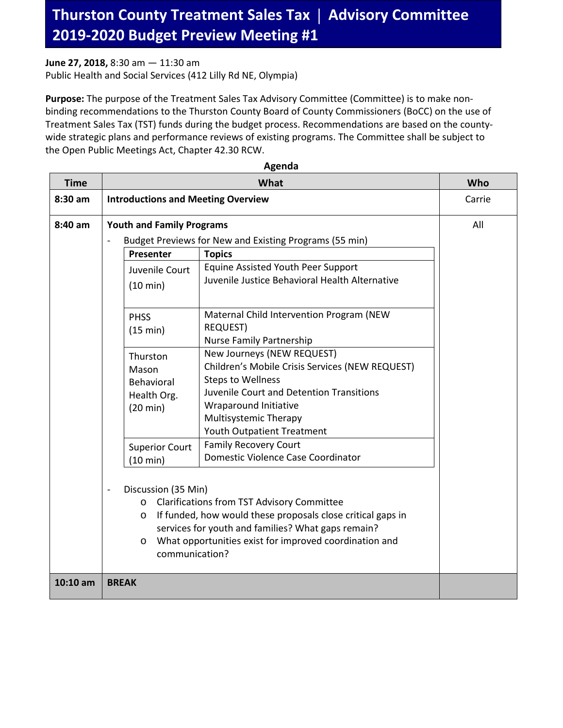## **June 27, 2018,** 8:30 am — 11:30 am

Public Health and Social Services (412 Lilly Rd NE, Olympia)

**Purpose:** The purpose of the Treatment Sales Tax Advisory Committee (Committee) is to make nonbinding recommendations to the Thurston County Board of County Commissioners (BoCC) on the use of Treatment Sales Tax (TST) funds during the budget process. Recommendations are based on the countywide strategic plans and performance reviews of existing programs. The Committee shall be subject to the Open Public Meetings Act, Chapter 42.30 RCW.

|             |                                                 | Agenua                                                                                                           |        |
|-------------|-------------------------------------------------|------------------------------------------------------------------------------------------------------------------|--------|
| <b>Time</b> | What                                            |                                                                                                                  | Who    |
| 8:30 am     | <b>Introductions and Meeting Overview</b>       |                                                                                                                  | Carrie |
| 8:40 am     | <b>Youth and Family Programs</b>                |                                                                                                                  | All    |
|             | $\frac{1}{2}$                                   | Budget Previews for New and Existing Programs (55 min)                                                           |        |
|             | Presenter                                       | <b>Topics</b>                                                                                                    |        |
|             | Juvenile Court                                  | Equine Assisted Youth Peer Support                                                                               |        |
|             | (10 min)                                        | Juvenile Justice Behavioral Health Alternative                                                                   |        |
|             |                                                 |                                                                                                                  |        |
|             | <b>PHSS</b>                                     | Maternal Child Intervention Program (NEW                                                                         |        |
|             | (15 min)                                        | <b>REQUEST)</b>                                                                                                  |        |
|             |                                                 | <b>Nurse Family Partnership</b>                                                                                  |        |
|             | Thurston                                        | New Journeys (NEW REQUEST)                                                                                       |        |
|             | Mason                                           | Children's Mobile Crisis Services (NEW REQUEST)                                                                  |        |
|             | Behavioral                                      | <b>Steps to Wellness</b>                                                                                         |        |
|             | Health Org.                                     | Juvenile Court and Detention Transitions                                                                         |        |
|             | $(20 \text{ min})$                              | Wraparound Initiative                                                                                            |        |
|             |                                                 | Multisystemic Therapy                                                                                            |        |
|             |                                                 | Youth Outpatient Treatment                                                                                       |        |
|             | <b>Superior Court</b>                           | <b>Family Recovery Court</b><br>Domestic Violence Case Coordinator                                               |        |
|             | (10 min)                                        |                                                                                                                  |        |
|             |                                                 |                                                                                                                  |        |
|             | Discussion (35 Min)<br>$\overline{\phantom{0}}$ |                                                                                                                  |        |
|             | $\circ$<br>O                                    | <b>Clarifications from TST Advisory Committee</b><br>If funded, how would these proposals close critical gaps in |        |
|             |                                                 | services for youth and families? What gaps remain?                                                               |        |
|             | $\circ$                                         | What opportunities exist for improved coordination and                                                           |        |
|             | communication?                                  |                                                                                                                  |        |
|             |                                                 |                                                                                                                  |        |
| $10:10$ am  | <b>BREAK</b>                                    |                                                                                                                  |        |

**Agenda**